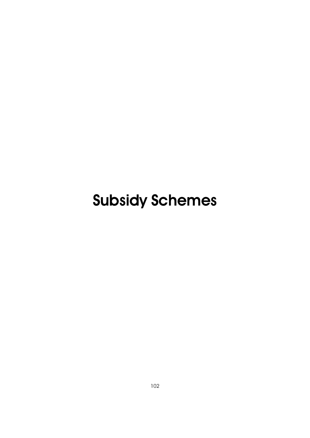# Subsidy Schemes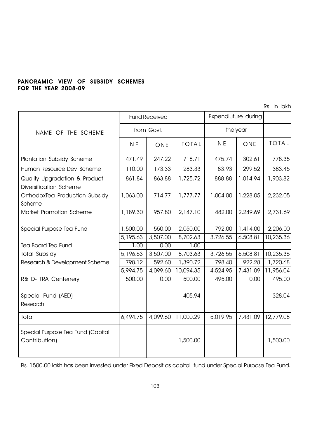# PANORAMIC VIEW OF SUBSIDY SCHEMES FOR THE YEAR 2008-09

Rs. in lakh

|                                                         |            | <b>Fund Received</b> |              |                | Expendiuture during |              |
|---------------------------------------------------------|------------|----------------------|--------------|----------------|---------------------|--------------|
| NAME OF THE SCHEME                                      | from Govt. |                      |              | the year       |                     |              |
|                                                         | N E        | ONE                  | <b>TOTAL</b> | N <sub>E</sub> | ONE                 | <b>TOTAL</b> |
| Plantation Subsidy Scheme                               | 471.49     | 247.22               | 718.71       | 475.74         | 302.61              | 778.35       |
| Human Resource Dev. Scheme                              | 110.00     | 173.33               | 283.33       | 83.93          | 299.52              | 383.45       |
| Quality Upgradation & Product<br>Diversification Scheme | 861.84     | 863.88               | 1,725.72     | 888.88         | 1,014.94            | 1,903.82     |
| OrthodoxTea Production Subsidy<br>Scheme                | 1,063.00   | 714.77               | 1,777.77     | 1,004.00       | 1,228.05            | 2,232.05     |
| Market Promotion Scheme                                 | 1,189.30   | 957.80               | 2,147.10     | 482.00         | 2,249.69            | 2,731.69     |
| Special Purpose Tea Fund                                | 1,500.00   | 550.00               | 2,050.00     | 792.00         | 1,414.00            | 2,206.00     |
|                                                         | 5,195.63   | 3,507.00             | 8,702.63     | 3,726.55       | 6,508.81            | 10,235.36    |
| <b>Tea Board Tea Fund</b>                               | 1,00       | 0.00                 | 1.00         |                |                     |              |
| <b>Total Subsidy</b>                                    | 5,196.63   | 3,507.00             | 8,703.63     | 3,726.55       | 6,508.81            | 10,235.36    |
| Research & Development Scheme                           | 798.12     | 592.60               | 1,390.72     | 798.40         | 922.28              | 1,720.68     |
|                                                         | 5,994.75   | 4,099.60             | 10,094.35    | 4,524.95       | 7,431.09            | 11,956.04    |
| R& D- TRA Centenery                                     | 500.00     | 0.00                 | 500.00       | 495.00         | 0.00                | 495.00       |
| Special Fund (AED)<br>Research                          |            |                      | 405.94       |                |                     | 328.04       |
| Total                                                   | 6,494.75   | 4,099.60             | 11,000.29    | 5,019.95       | 7,431.09            | 12,779.08    |
| Special Purpose Tea Fund (Capital<br>Contribution)      |            |                      | 1,500.00     |                |                     | 1,500.00     |

Rs. 1500.00 lakh has been invested under Fixed Deposit as capital fund under Special Purpose Tea Fund.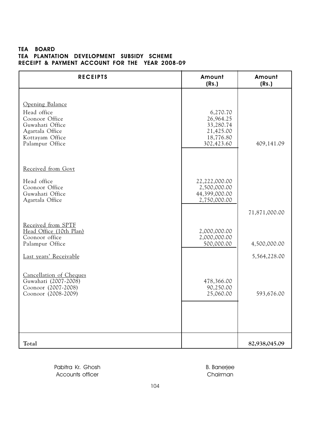## TEA BOARD TEA PLANTATION DEVELOPMENT SUBSIDY SCHEME RECEIPT & PAYMENT ACCOUNT FOR THE YEAR 2008-09

| <b>RECEIPTS</b>                                                                                                              | Amount<br>(Rs.)                                                            | Amount<br>(Rs.)              |
|------------------------------------------------------------------------------------------------------------------------------|----------------------------------------------------------------------------|------------------------------|
| Opening Balance<br>Head office<br>Coonoor Office<br>Guwahati Office<br>Agartala Office<br>Kottayam Office<br>Palampur Office | 6,270.70<br>26,964.25<br>33,280.74<br>21,425.00<br>18,776.80<br>302,423.60 | 409,141.09                   |
| Received from Govt<br>Head office<br>Coonoor Office<br>Guwahati Office<br>Agartala Office                                    | 22,222,000.00<br>2,500,000.00<br>44,399,000.00<br>2,750,000.00             | 71,871,000.00                |
| Received from SPTF<br>Head Office (10th Plan)<br>Coonoor office<br>Palampur Office<br>Last years' Receivable                 | 2,000,000.00<br>2,000,000.00<br>500,000.00                                 | 4,500,000.00<br>5,564,228.00 |
| Cancellation of Cheques<br>Guwahati (2007-2008)<br>Coonoor (2007-2008)<br>Coonoor (2008-2009)                                | 478,366.00<br>90,250.00<br>25,060.00                                       | 593,676.00                   |
| Total                                                                                                                        |                                                                            | 82,938,045.09                |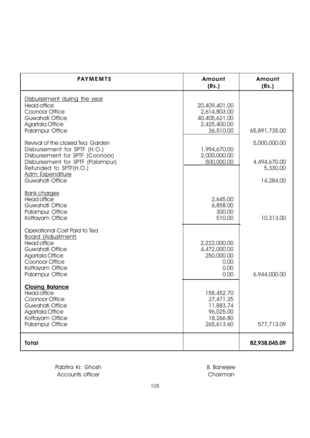| <b>PAYMEMTS</b>                                                                                                                                                                                                | Amount<br>(Rs.)                                                              | Amount<br>(Rs.)                                       |
|----------------------------------------------------------------------------------------------------------------------------------------------------------------------------------------------------------------|------------------------------------------------------------------------------|-------------------------------------------------------|
| Disbursement during the year<br><b>Head office</b><br>Coonoor Office<br>Guwahati Office<br>Agartala Office<br><b>Palampur Office</b>                                                                           | 20,409,401.00<br>2,614,803.00<br>40,405,621.00<br>2,425,400.00<br>36,510.00  | 65,891,735.00                                         |
| Revival of the closed Tea Garden<br>Disbursement for SPTF (H.O.)<br>Disbursement for SPTF (Coonoor)<br>Disbursement for SPTF (Palampur)<br>Refunded to SPTF(H.O.)<br><b>Adm Expenditure</b><br>Guwahati Office | 1,994,670.00<br>2,000,000.00<br>500,000.00                                   | 5,000,000.00<br>4,494,670.00<br>5,330.00<br>14,284.00 |
| <b>Bank charges</b><br><b>Head office</b><br>Guwahati Office<br><b>Palampur Office</b><br>Kottayam Office                                                                                                      | 2,645.00<br>6,858.00<br>300.00<br>510.00                                     | 10,313.00                                             |
| Operational Cost Paid to Tea<br><b>Board (Adjustment)</b><br><b>Head office</b><br>Guwahati Office<br><b>Agartala Office</b><br>Coonoor Office<br>Kottayam Office<br><b>Palampur Office</b>                    | 2,222,000.00<br>4,472,000.00<br>250,000.00<br>0.00<br>0.00<br>0.00           | 6,944,000.00                                          |
| <b>Closing Balance</b><br><b>Head office</b><br>Coonoor Office<br>Guwahati Office<br>Agartala Office<br>Kottayam Office<br><b>Palampur Office</b>                                                              | 158,452.70<br>27,471.25<br>11,883.74<br>96,025.00<br>18,266.80<br>265,613.60 | 577,713.09                                            |
| <b>Total</b>                                                                                                                                                                                                   |                                                                              | 82,938,045.09                                         |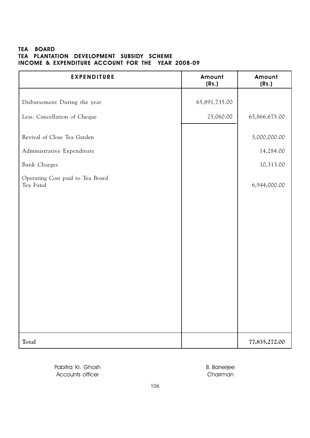## TEA BOARD TEA PLANTATION DEVELOPMENT SUBSIDY SCHEME INCOME & EXPENDITURE ACCOUNT FOR THE YEAR 2008-09

| <b>EXPENDITURE</b>                           | Amount<br>(Rs.) | Amount<br>(Rs.) |
|----------------------------------------------|-----------------|-----------------|
| Disbursement During the year                 | 65,891,735.00   |                 |
| Less: Cancellation of Cheque                 | 25,060.00       | 65,866,675.00   |
| Revival of Close Tea Garden                  |                 | 5,000,000.00    |
| Administrative Expenditure                   |                 | 14,284.00       |
| Bank Charges                                 |                 | 10,313.00       |
| Operating Cost paid to Tea Board<br>Tea Fund |                 | 6,944,000.00    |
|                                              |                 |                 |
| Total                                        |                 | 77,835,272.00   |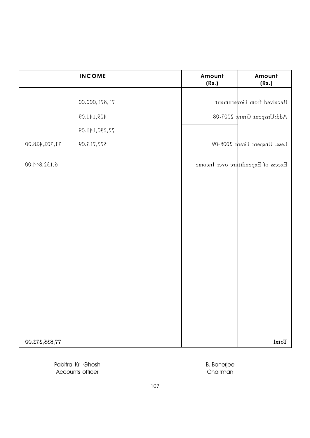|               | <b>INCOME</b> | Amount<br>(Rs.) | Amount<br>(Rs.)                   |
|---------------|---------------|-----------------|-----------------------------------|
|               | 71,871,000.00 |                 | Received from Government          |
|               | 409,141.09    |                 | Add:Unspent Grant 2007-08         |
|               | 72,280,141.09 |                 |                                   |
| 71,702,428.00 | 577,713.09    |                 | Less: Unspent Grant 2008-09       |
| 6,132,844.00  |               |                 | Excess of Expenditure over Income |
|               |               |                 |                                   |
| 77,835,272.00 |               |                 | Total                             |

Pabitra Kr. Ghosh B. Banerjee Accounts officer and the contract of the Chairman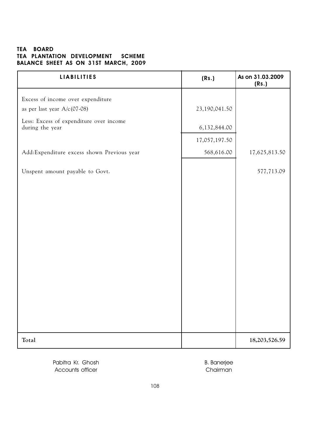# TEA BOARD TEA PLANTATION DEVELOPMENT SCHEME BALANCE SHEET AS ON 31ST MARCH, 2009

| <b>LIABILITIES</b>                                         | (Rs.)         | As on 31.03.2009<br>(Rs.) |
|------------------------------------------------------------|---------------|---------------------------|
| Excess of income over expenditure                          |               |                           |
| as per last year A/c(07-08)                                | 23,190,041.50 |                           |
| Less: Excess of expenditure over income<br>during the year | 6,132,844.00  |                           |
|                                                            | 17,057,197.50 |                           |
| Add:Expenditure excess shown Previous year                 | 568,616.00    | 17,625,813.50             |
| Unspent amount payable to Govt.                            |               | 577,713.09                |
|                                                            |               |                           |
|                                                            |               |                           |
|                                                            |               |                           |
|                                                            |               |                           |
|                                                            |               |                           |
|                                                            |               |                           |
|                                                            |               |                           |
|                                                            |               |                           |
|                                                            |               |                           |
|                                                            |               |                           |
| Total                                                      |               | 18,203,526.59             |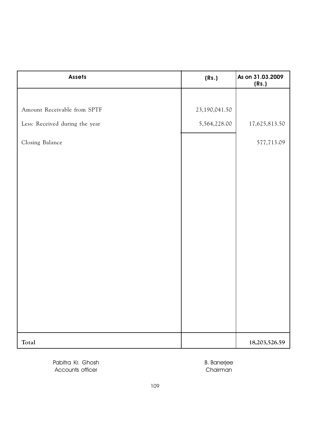| <b>Assets</b>                  | (Rs.)         | As on 31.03.2009<br>(Rs.) |
|--------------------------------|---------------|---------------------------|
|                                |               |                           |
| Amount Receivable from SPTF    | 23,190,041.50 |                           |
| Less: Received during the year | 5,564,228.00  | 17,625,813.50             |
| Closing Balance                |               | 577,713.09                |
|                                |               |                           |
|                                |               |                           |
|                                |               |                           |
|                                |               |                           |
|                                |               |                           |
|                                |               |                           |
|                                |               |                           |
|                                |               |                           |
|                                |               |                           |
|                                |               |                           |
|                                |               |                           |
| Total                          |               | 18,203,526.59             |

Pabitra Kr. Ghosh B. Banerjee Accounts officer Chairman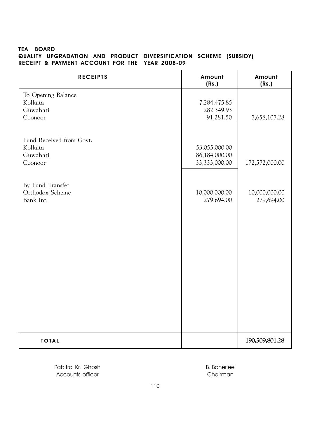#### TEA BOARD QUALITY UPGRADATION AND PRODUCT DIVERSIFICATION SCHEME (SUBSIDY) RECEIPT & PAYMENT ACCOUNT FOR THE YEAR 2008-09

| <b>RECEIPTS</b>                                            | Amount<br>(Rs.)                                 | Amount<br>(Rs.)             |
|------------------------------------------------------------|-------------------------------------------------|-----------------------------|
| To Opening Balance<br>Kolkata<br>Guwahati<br>Coonoor       | 7,284,475.85<br>282,349.93<br>91,281.50         | 7,658,107.28                |
| Fund Received from Govt.<br>Kolkata<br>Guwahati<br>Coonoor | 53,055,000.00<br>86,184,000.00<br>33,333,000.00 | 172,572,000.00              |
| By Fund Transfer<br>Orthodox Scheme<br>Bank Int.           | 10,000,000.00<br>279,694.00                     | 10,000,000.00<br>279,694.00 |
|                                                            |                                                 |                             |
|                                                            |                                                 |                             |
| <b>TOTAL</b>                                               |                                                 | 190,509,801.28              |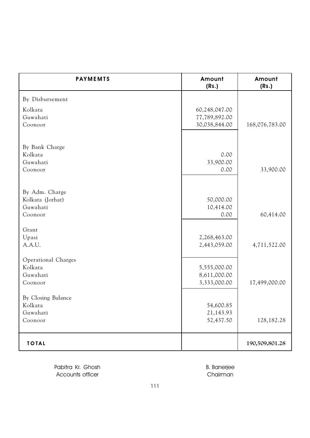| <b>PAYMEMTS</b>     | Amount<br>(Rs.) | Amount<br>(Rs.) |
|---------------------|-----------------|-----------------|
| By Disbursement     |                 |                 |
| Kolkata             | 60,248,047.00   |                 |
| Guwahati            | 77,789,892.00   |                 |
| Coonoor             | 30,038,844.00   | 168,076,783.00  |
|                     |                 |                 |
| By Bank Charge      |                 |                 |
| Kolkata             | 0.00            |                 |
| Guwahati            | 33,900.00       |                 |
| Coonoor             | 0.00            | 33,900.00       |
| By Adm. Charge      |                 |                 |
| Kolkata (Jorhat)    | 50,000.00       |                 |
| Guwahati            | 10,414.00       |                 |
| Coonoor             | 0.00            | 60,414.00       |
| Grant               |                 |                 |
| Upasi               | 2,268,463.00    |                 |
| A.A.U.              | 2,443,059.00    | 4,711,522.00    |
| Operational Charges |                 |                 |
| Kolkata             | 5,555,000.00    |                 |
| Guwahati            | 8,611,000.00    |                 |
| Coonoor             | 3,333,000.00    | 17,499,000.00   |
| By Closing Balance  |                 |                 |
| Kolkata             | 54,600.85       |                 |
| Guwahati            | 21,143.93       |                 |
| Coonoor             | 52,437.50       | 128,182.28      |
| <b>TOTAL</b>        |                 | 190,509,801.28  |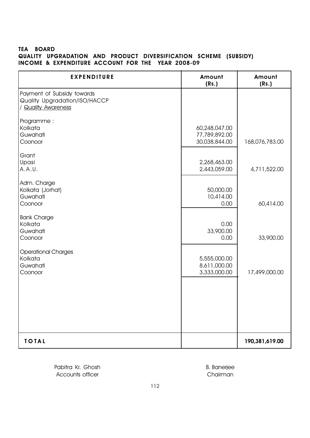# TEA BOARD QUALITY UPGRADATION AND PRODUCT DIVERSIFICATION SCHEME (SUBSIDY) INCOME & EXPENDITURE ACCOUNT FOR THE YEAR 2008-09

| <b>EXPENDITURE</b>                                                                 | Amount<br>(Rs.)                                 | Amount<br>(Rs.) |
|------------------------------------------------------------------------------------|-------------------------------------------------|-----------------|
| Payment of Subsidy towards<br>Quality Upgradation/ISO/HACCP<br>/ Quality Awareness |                                                 |                 |
| Programme :<br>Kolkata<br>Guwahati<br>Coonoor                                      | 60,248,047.00<br>77,789,892.00<br>30,038,844.00 | 168,076,783.00  |
| Grant<br>Upasi<br>A.A.U.                                                           | 2,268,463.00<br>2,443,059.00                    | 4,711,522.00    |
| Adm. Charge<br>Kolkata (Jorhat)<br>Guwahati<br>Coonoor                             | 50,000.00<br>10,414.00<br>0.00                  | 60,414.00       |
| <b>Bank Charge</b><br>Kolkata<br>Guwahati<br>Coonoor                               | 0.00<br>33,900.00<br>0.00                       | 33,900.00       |
| <b>Operational Charges</b><br>Kolkata<br>Guwahati<br>Coonoor                       | 5,555,000.00<br>8,611,000.00<br>3,333,000.00    | 17,499,000.00   |
|                                                                                    |                                                 |                 |
| <b>TOTAL</b>                                                                       |                                                 | 190,381,619.00  |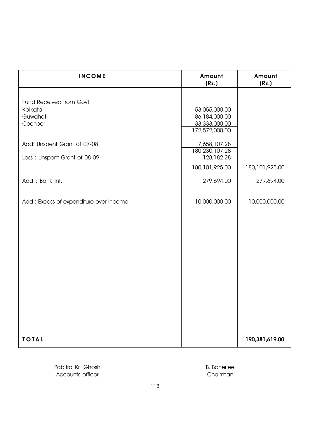| <b>INCOME</b>                          | Amount<br>(Rs.)                                  | Amount<br>(Rs.)  |
|----------------------------------------|--------------------------------------------------|------------------|
| Fund Received from Govt.<br>Kolkata    | 53,055,000.00                                    |                  |
| Guwahati<br>Coonoor                    | 86,184,000.00<br>33,333,000.00<br>172,572,000.00 |                  |
| Add: Unspent Grant of 07-08            | 7,658,107.28<br>180,230,107.28                   |                  |
| Less: Unspent Grant of 08-09           | 128,182.28<br>180, 101, 925.00                   | 180, 101, 925.00 |
| Add: Bank Int.                         | 279,694.00                                       | 279,694.00       |
| Add: Excess of expenditure over income | 10,000,000.00                                    | 10,000,000.00    |
|                                        |                                                  |                  |
|                                        |                                                  |                  |
|                                        |                                                  |                  |
|                                        |                                                  |                  |
|                                        |                                                  |                  |
|                                        |                                                  |                  |
| <b>TOTAL</b>                           |                                                  | 190,381,619.00   |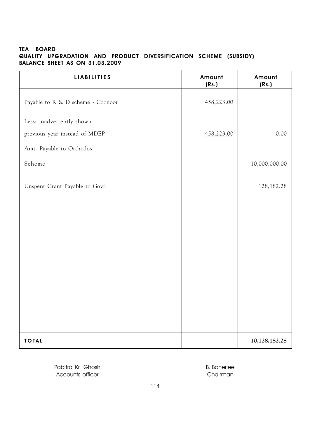## TEA BOARD QUALITY UPGRADATION AND PRODUCT DIVERSIFICATION SCHEME (SUBSIDY) BALANCE SHEET AS ON 31.03.2009

| <b>LIABILITIES</b>                | Amount<br>(Rs.) | Amount<br>(Rs.) |
|-----------------------------------|-----------------|-----------------|
| Payable to R & D scheme - Coonoor | 458,223.00      |                 |
| Less: inadvertently shown         |                 |                 |
| previous year instead of MDEP     | 458,223.00      | 0.00            |
| Amt. Payable to Orthodox          |                 |                 |
| Scheme                            |                 | 10,000,000.00   |
| Unspent Grant Payable to Govt.    |                 | 128, 182. 28    |
|                                   |                 |                 |
|                                   |                 |                 |
|                                   |                 |                 |
|                                   |                 |                 |
|                                   |                 |                 |
|                                   |                 |                 |
| <b>TOTAL</b>                      |                 | 10,128,182.28   |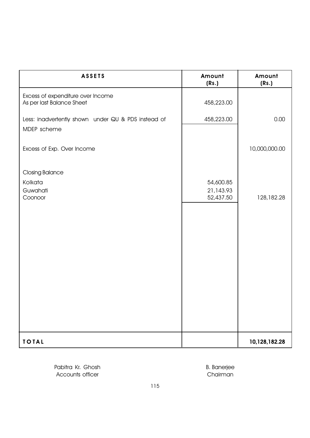| <b>ASSETS</b>                                                      | Amount<br>(Rs.)                     | Amount<br>(Rs.) |
|--------------------------------------------------------------------|-------------------------------------|-----------------|
| Excess of expenditure over Income<br>As per last Balance Sheet     | 458,223.00                          |                 |
| Less: inadvertently shown under QU & PDS instead of<br>MDEP scheme | 458,223.00                          | 0.00            |
| Excess of Exp. Over Income                                         |                                     | 10,000,000.00   |
| <b>Closing Balance</b><br>Kolkata<br>Guwahati<br>Coonoor           | 54,600.85<br>21,143.93<br>52,437.50 | 128,182.28      |
| <b>TOTAL</b>                                                       |                                     | 10,128,182.28   |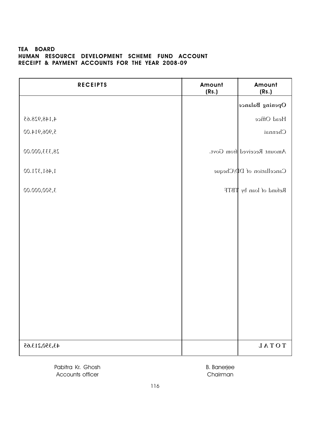#### TEA BOARD HUMAN RESOURCE DEVELOPMENT SCHEME FUND ACCOUNT RECEIPT & PAYMENT ACCOUNTS FOR THE YEAR 2008-09

| <b>RECEIPTS</b> | Amount<br>(Rs.) | Amount<br>(Rs.)                        |
|-----------------|-----------------|----------------------------------------|
|                 |                 | Opening Balance                        |
| 4,148,928.65    |                 | Head Office                            |
| 5,906,914.00    |                 | Chennai                                |
| 28,333,000.00   |                 | Amount Received from Govt.             |
| 1,461,371.00    |                 | Cancellation of D <sup>p</sup> /Cheque |
| 3,500,000.00    |                 | Refund of loan by TBTF                 |
|                 |                 |                                        |
| 43,350,213.65   |                 | $T O T A L$                            |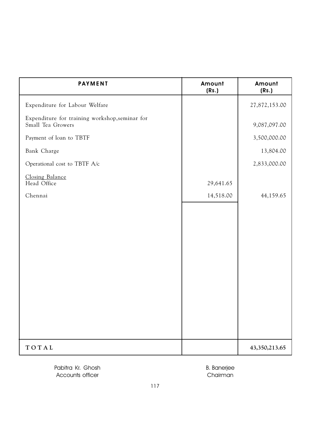| <b>PAYMENT</b>                                                      | Amount<br>(Rs.) | Amount<br>(Rs.) |
|---------------------------------------------------------------------|-----------------|-----------------|
| Expenditure for Labour Welfare                                      |                 | 27,872,153.00   |
| Expenditure for training workshop, seminar for<br>Small Tea Growers |                 | 9,087,097.00    |
| Payment of loan to TBTF                                             |                 | 3,500,000.00    |
| Bank Charge                                                         |                 | 13,804.00       |
| Operational cost to TBTF A/c                                        |                 | 2,833,000.00    |
| Closing Balance<br>Head Office                                      | 29,641.65       |                 |
| Chennai                                                             | 14,518.00       | 44,159.65       |
|                                                                     |                 |                 |
| TOTAL                                                               |                 | 43,350,213.65   |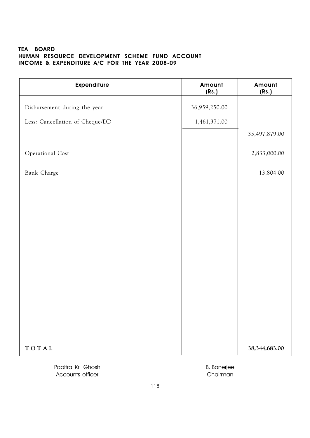# TEA BOARD HUMAN RESOURCE DEVELOPMENT SCHEME FUND ACCOUNT INCOME & EXPENDITURE A/C FOR THE YEAR 2008-09

| <b>Expenditure</b>              | Amount<br>(Rs.) | Amount<br>(Rs.)  |
|---------------------------------|-----------------|------------------|
| Disbursement during the year    | 36,959,250.00   |                  |
| Less: Cancellation of Cheque/DD | 1,461,371.00    |                  |
|                                 |                 | 35,497,879.00    |
| Operational Cost                |                 | 2,833,000.00     |
| Bank Charge                     |                 | 13,804.00        |
|                                 |                 |                  |
|                                 |                 |                  |
|                                 |                 |                  |
|                                 |                 |                  |
|                                 |                 |                  |
|                                 |                 |                  |
|                                 |                 |                  |
|                                 |                 |                  |
|                                 |                 |                  |
|                                 |                 |                  |
| TOTAL                           |                 | 38, 344, 683. 00 |

Pabitra Kr. Ghosh B. Banerjee Accounts officer and the counts of the counts of the counts of the counts of the counts of the counts of the counts of the counts of the counts of the counts of the counts of the counts of the counts of the counts of the c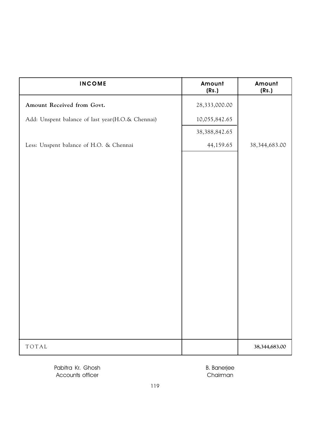| <b>INCOME</b>                                    | Amount<br>(Rs.)  | Amount<br>(Rs.)  |
|--------------------------------------------------|------------------|------------------|
| Amount Received from Govt.                       | 28,333,000.00    |                  |
| Add: Unspent balance of last year(H.O.& Chennai) | 10,055,842.65    |                  |
|                                                  | 38, 388, 842. 65 |                  |
| Less: Unspent balance of H.O. & Chennai          | 44,159.65        | 38, 344, 683. 00 |
|                                                  |                  |                  |
|                                                  |                  |                  |
|                                                  |                  |                  |
|                                                  |                  |                  |
| TOTAL                                            |                  | 38,344,683.00    |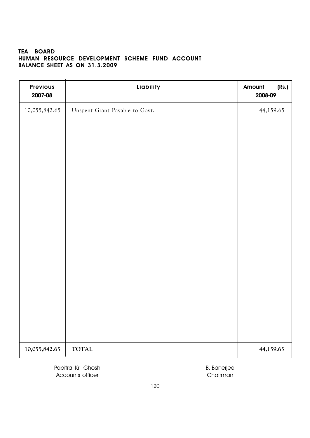# TEA BOARD HUMAN RESOURCE DEVELOPMENT SCHEME FUND ACCOUNT BALANCE SHEET AS ON 31.3.2009

| <b>Previous</b><br>2007-08 | Liability                      | Amount<br>(Rs.)<br>2008-09 |
|----------------------------|--------------------------------|----------------------------|
| 10,055,842.65              | Unspent Grant Payable to Govt. | 44,159.65                  |
| 10,055,842.65              | <b>TOTAL</b>                   | 44,159.65                  |